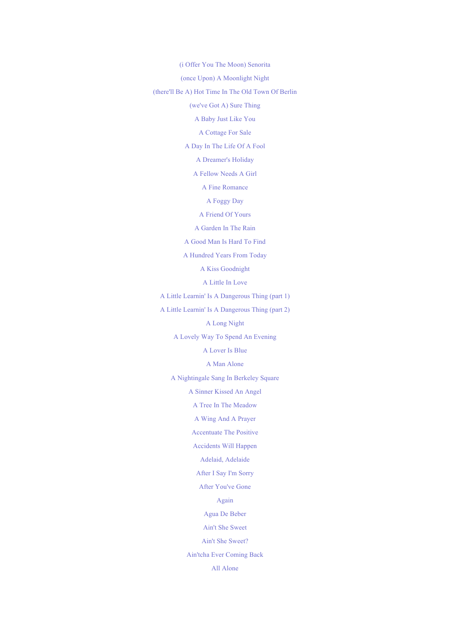(i Offer You The Moon) Senorita (once Upon) A Moonlight Night (there'll Be A) Hot Time In The Old Town Of Berlin (we've Got A) Sure Thing A Baby Just Like You A Cottage For Sale A Day In The Life Of A Fool A Dreamer's Holiday A Fellow Needs A Girl A Fine Romance A Foggy Day A Friend Of Yours A Garden In The Rain A Good Man Is Hard To Find A Hundred Years From Today A Kiss Goodnight A Little In Love A Little Learnin' Is A Dangerous Thing (part 1) A Little Learnin' Is A Dangerous Thing (part 2) A Long Night A Lovely Way To Spend An Evening A Lover Is Blue A Man Alone A Nightingale Sang In Berkeley Square A Sinner Kissed An Angel A Tree In The Meadow A Wing And A Prayer Accentuate The Positive Accidents Will Happen Adelaid, Adelaide After I Say I'm Sorry After You've Gone Again Agua De Beber Ain't She Sweet Ain't She Sweet? Ain'tcha Ever Coming Back All Alone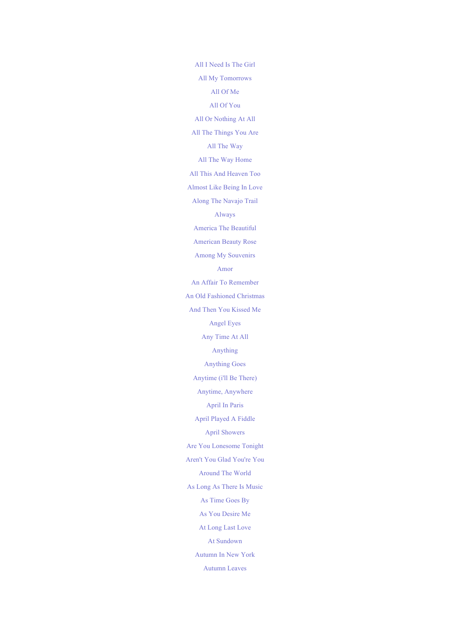All I Need Is The Girl All My Tomorrows All Of Me All Of You All Or Nothing At All All The Things You Are All The Way All The Way Home All This And Heaven Too Almost Like Being In Love Along The Navajo Trail Always America The Beautiful American Beauty Rose Among My Souvenirs Amor An Affair To Remember An Old Fashioned Christmas And Then You Kissed Me Angel Eyes Any Time At All Anything Anything Goes Anytime (i'll Be There) Anytime, Anywhere April In Paris April Played A Fiddle April Showers Are You Lonesome Tonight Aren't You Glad You're You Around The World As Long As There Is Music As Time Goes By As You Desire Me At Long Last Love At Sundown Autumn In New York Autumn Leaves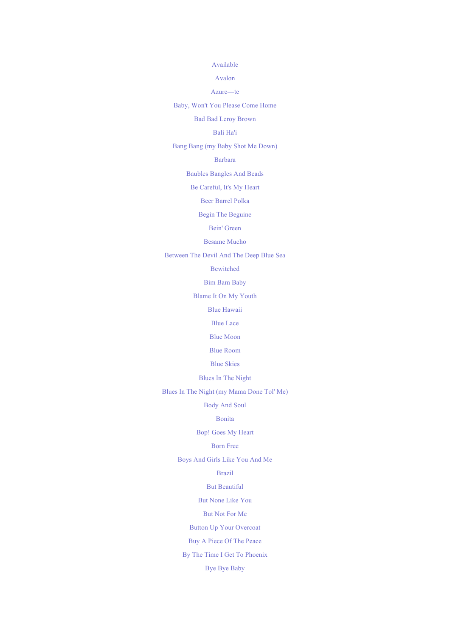### Available

# Avalon

## Azure—te

Baby, Won't You Please Come Home

Bad Bad Leroy Brown

## Bali Ha'i

Bang Bang (my Baby Shot Me Down)

Barbara

Baubles Bangles And Beads

Be Careful, It's My Heart

Beer Barrel Polka

Begin The Beguine

Bein' Green

Besame Mucho

Between The Devil And The Deep Blue Sea

Bewitched

Bim Bam Baby

Blame It On My Youth

Blue Hawaii

Blue Lace

Blue Moon

Blue Room

Blue Skies

Blues In The Night

Blues In The Night (my Mama Done Tol' Me)

Body And Soul

Bonita

Bop! Goes My Heart

#### Born Free

Boys And Girls Like You And Me

## Brazil

### But Beautiful

But None Like You

But Not For Me

Button Up Your Overcoat

Buy A Piece Of The Peace

By The Time I Get To Phoenix

Bye Bye Baby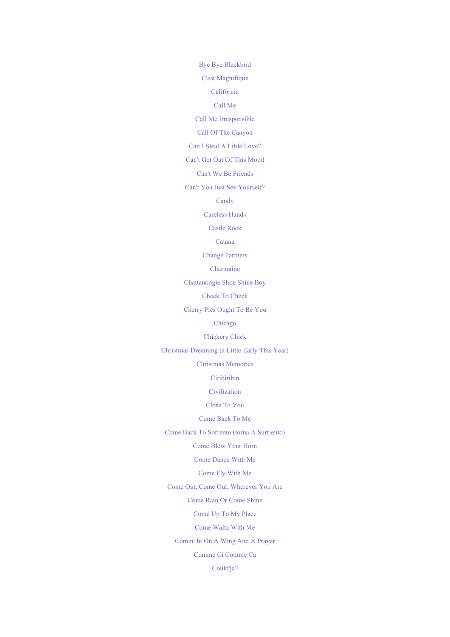Bye Bye Blackbird C'est Magnifique California Call Me Call Me Irresponsible Call Of The Canyon Can I Steal A Little Love? Can't Get Out Of This Mood Can't We Be Friends Can't You Just See Yourself? Candy Careless Hands Castle Rock Catana Change Partners Charmaine Chattanoogie Shoe Shine Boy Cheek To Cheek Cherry Pies Ought To Be You Chicago Chickery Chick Christmas Dreaming (a Little Early This Year) Christmas Memories Ciribiribin Civilization Close To You Come Back To Me Come Back To Sorrento (torna A Surriento) Come Blow Your Horn Come Dance With Me Come Fly With Me Come Out, Come Out, Wherever You Are Come Rain Or Come Shine Come Up To My Place Come Waltz With Me Comin' In On A Wing And A Prayer Comme Ci Comme Ca Could'ja?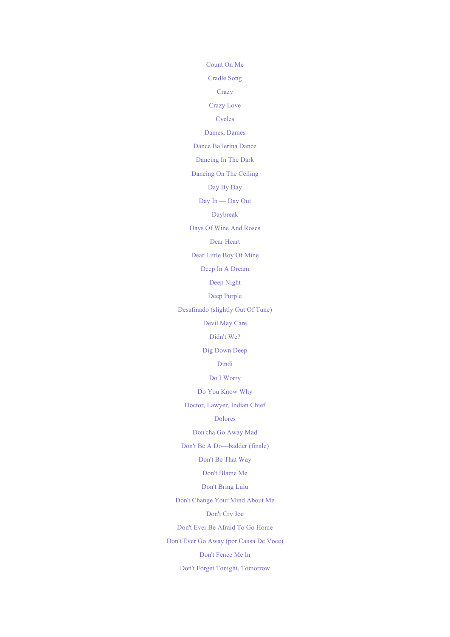Count On Me Cradle Song **Crazy** Crazy Love **Cycles** Dames, Dames Dance Ballerina Dance Dancing In The Dark Dancing On The Ceiling Day By Day Day In — Day Out Daybreak Days Of Wine And Roses Dear Heart Dear Little Boy Of Mine Deep In A Dream Deep Night Deep Purple Desafinado (slightly Out Of Tune) Devil May Care Didn't We? Dig Down Deep Dindi Do I Worry Do You Know Why Doctor, Lawyer, Indian Chief Dolores Don'cha Go Away Mad Don't Be A Do—badder (finale) Don't Be That Way Don't Blame Me Don't Bring Lulu Don't Change Your Mind About Me Don't Cry Joe Don't Ever Be Afraid To Go Home Don't Ever Go Away (por Causa De Voce) Don't Fence Me In Don't Forget Tonight, Tomorrow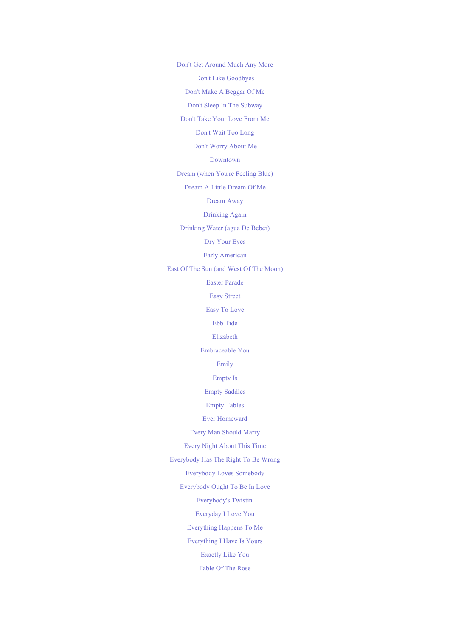Don't Get Around Much Any More Don't Like Goodbyes Don't Make A Beggar Of Me Don't Sleep In The Subway Don't Take Your Love From Me Don't Wait Too Long Don't Worry About Me Downtown Dream (when You're Feeling Blue) Dream A Little Dream Of Me Dream Away Drinking Again Drinking Water (agua De Beber) Dry Your Eyes Early American East Of The Sun (and West Of The Moon) Easter Parade Easy Street Easy To Love Ebb Tide Elizabeth Embraceable You Emily Empty Is Empty Saddles Empty Tables Ever Homeward Every Man Should Marry Every Night About This Time Everybody Has The Right To Be Wrong Everybody Loves Somebody Everybody Ought To Be In Love Everybody's Twistin' Everyday I Love You Everything Happens To Me Everything I Have Is Yours Exactly Like You Fable Of The Rose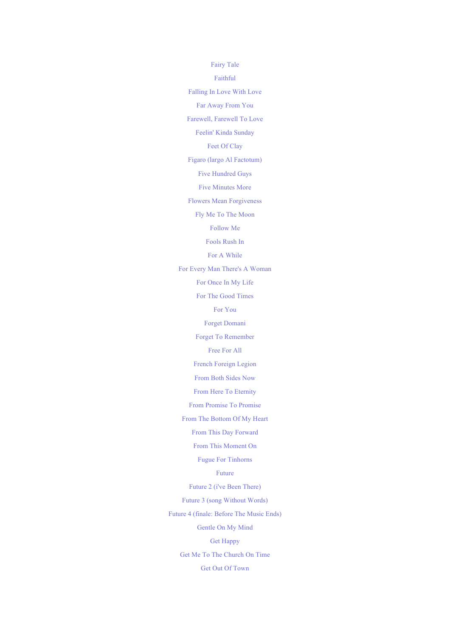Fairy Tale Faithful Falling In Love With Love Far Away From You Farewell, Farewell To Love Feelin' Kinda Sunday Feet Of Clay Figaro (largo Al Factotum) Five Hundred Guys Five Minutes More Flowers Mean Forgiveness Fly Me To The Moon Follow Me Fools Rush In For A While For Every Man There's A Woman For Once In My Life For The Good Times For You Forget Domani Forget To Remember Free For All French Foreign Legion From Both Sides Now From Here To Eternity From Promise To Promise From The Bottom Of My Heart From This Day Forward From This Moment On Fugue For Tinhorns Future Future 2 (i've Been There) Future 3 (song Without Words) Future 4 (finale: Before The Music Ends) Gentle On My Mind Get Happy Get Me To The Church On Time Get Out Of Town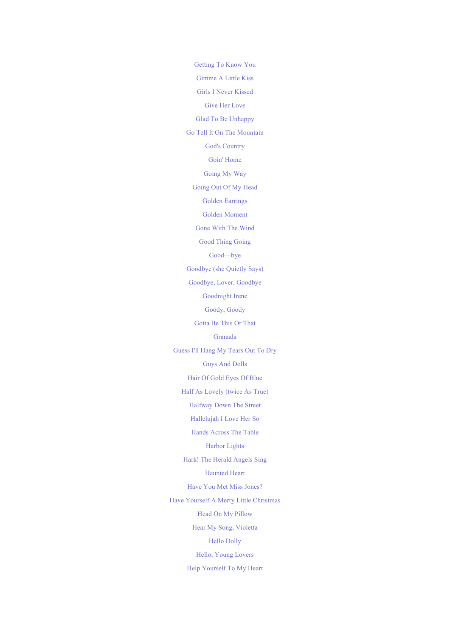Getting To Know You Gimme A Little Kiss Girls I Never Kissed Give Her Love Glad To Be Unhappy Go Tell It On The Mountain God's Country Goin' Home Going My Way Going Out Of My Head Golden Earrings Golden Moment Gone With The Wind Good Thing Going Good—bye Goodbye (she Quietly Says) Goodbye, Lover, Goodbye Goodnight Irene Goody, Goody Gotta Be This Or That Granada Guess I'll Hang My Tears Out To Dry Guys And Dolls Hair Of Gold Eyes Of Blue Half As Lovely (twice As True) Halfway Down The Street Hallelujah I Love Her So Hands Across The Table Harbor Lights Hark! The Herald Angels Sing Haunted Heart Have You Met Miss Jones? Have Yourself A Merry Little Christmas Head On My Pillow Hear My Song, Violetta Hello Dolly Hello, Young Lovers Help Yourself To My Heart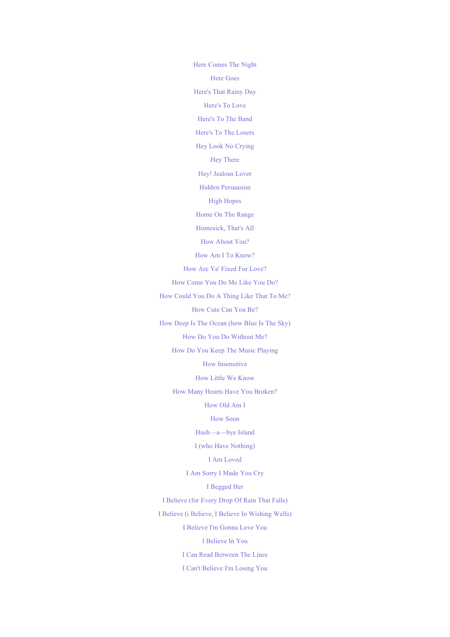Here Comes The Night Here Goes Here's That Rainy Day Here's To Love Here's To The Band Here's To The Losers Hey Look No Crying Hey There Hey! Jealous Lover Hidden Persuasion High Hopes Home On The Range Homesick, That's All How About You? How Am I To Know? How Are Ya' Fixed For Love? How Come You Do Me Like You Do? How Could You Do A Thing Like That To Me? How Cute Can You Be? How Deep Is The Ocean (how Blue Is The Sky) How Do You Do Without Me? How Do You Keep The Music Playing How Insensitive How Little We Know How Many Hearts Have You Broken? How Old Am I How Soon Hush—a—bye Island I (who Have Nothing) I Am Loved I Am Sorry I Made You Cry I Begged Her I Believe (for Every Drop Of Rain That Falls) I Believe (i Believe, I Believe In Wishing Wells) I Believe I'm Gonna Love You I Believe In You I Can Read Between The Lines I Can't Believe I'm Losing You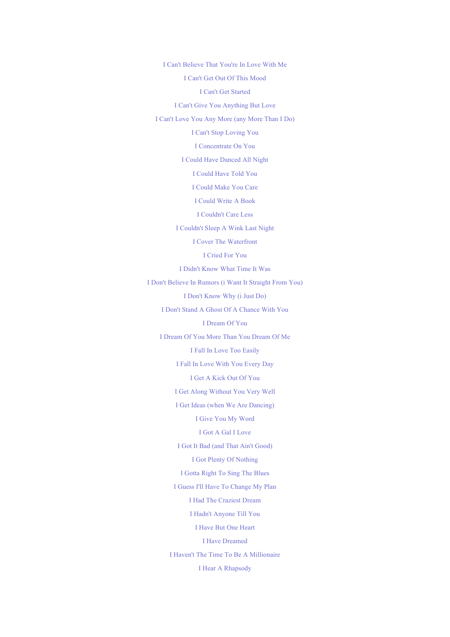I Can't Believe That You're In Love With Me I Can't Get Out Of This Mood I Can't Get Started I Can't Give You Anything But Love I Can't Love You Any More (any More Than I Do) I Can't Stop Loving You I Concentrate On You I Could Have Danced All Night I Could Have Told You I Could Make You Care I Could Write A Book I Couldn't Care Less I Couldn't Sleep A Wink Last Night I Cover The Waterfront I Cried For You I Didn't Know What Time It Was I Don't Believe In Rumors (i Want It Straight From You) I Don't Know Why (i Just Do) I Don't Stand A Ghost Of A Chance With You I Dream Of You I Dream Of You More Than You Dream Of Me I Fall In Love Too Easily I Fall In Love With You Every Day I Get A Kick Out Of You I Get Along Without You Very Well I Get Ideas (when We Are Dancing) I Give You My Word I Got A Gal I Love I Got It Bad (and That Ain't Good) I Got Plenty Of Nothing I Gotta Right To Sing The Blues I Guess I'll Have To Change My Plan I Had The Craziest Dream I Hadn't Anyone Till You I Have But One Heart I Have Dreamed I Haven't The Time To Be A Millionaire I Hear A Rhapsody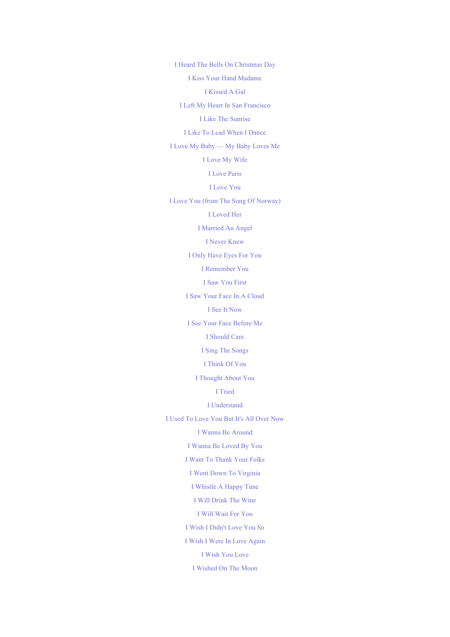I Heard The Bells On Christmas Day I Kiss Your Hand Madame I Kissed A Gal I Left My Heart In San Francisco I Like The Sunrise I Like To Lead When I Dance I Love My Baby — My Baby Loves Me I Love My Wife I Love Paris I Love You I Love You (from The Song Of Norway) I Loved Her I Married An Angel I Never Knew I Only Have Eyes For You I Remember You I Saw You First I Saw Your Face In A Cloud I See It Now I See Your Face Before Me I Should Care I Sing The Songs I Think Of You I Thought About You I Tried I Understand I Used To Love You But It's All Over Now I Wanna Be Around I Wanna Be Loved By You I Want To Thank Your Folks I Went Down To Virginia I Whistle A Happy Tune I Will Drink The Wine I Will Wait For You I Wish I Didn't Love You So I Wish I Were In Love Again I Wish You Love I Wished On The Moon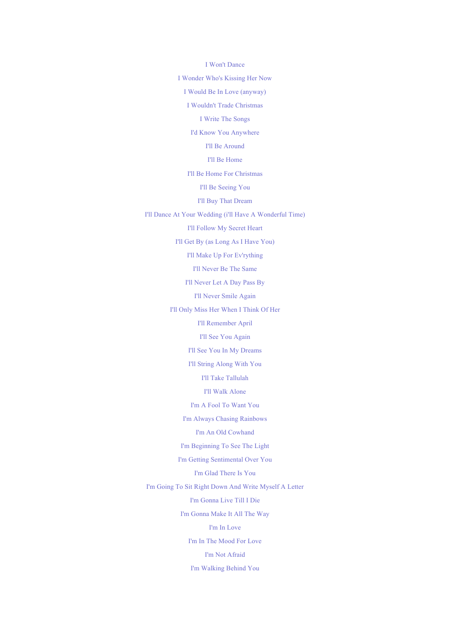I Won't Dance I Wonder Who's Kissing Her Now I Would Be In Love (anyway) I Wouldn't Trade Christmas I Write The Songs I'd Know You Anywhere I'll Be Around I'll Be Home I'll Be Home For Christmas I'll Be Seeing You I'll Buy That Dream I'll Dance At Your Wedding (i'll Have A Wonderful Time) I'll Follow My Secret Heart I'll Get By (as Long As I Have You) I'll Make Up For Ev'rything I'll Never Be The Same I'll Never Let A Day Pass By I'll Never Smile Again I'll Only Miss Her When I Think Of Her I'll Remember April I'll See You Again I'll See You In My Dreams I'll String Along With You I'll Take Tallulah I'll Walk Alone I'm A Fool To Want You I'm Always Chasing Rainbows I'm An Old Cowhand I'm Beginning To See The Light I'm Getting Sentimental Over You I'm Glad There Is You I'm Going To Sit Right Down And Write Myself A Letter I'm Gonna Live Till I Die I'm Gonna Make It All The Way I'm In Love I'm In The Mood For Love I'm Not Afraid I'm Walking Behind You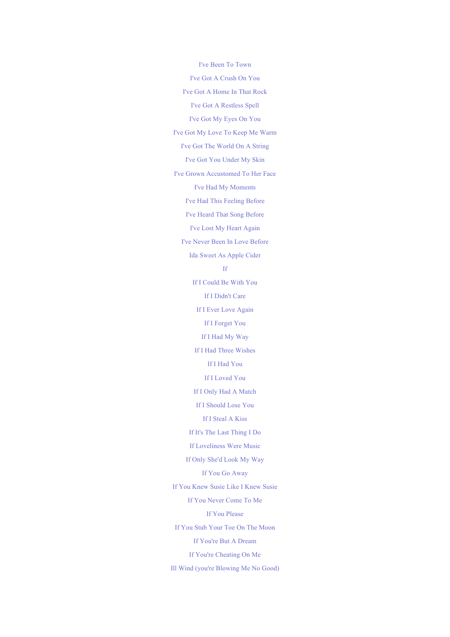I've Been To Town I've Got A Crush On You I've Got A Home In That Rock I've Got A Restless Spell I've Got My Eyes On You I've Got My Love To Keep Me Warm I've Got The World On A String I've Got You Under My Skin I've Grown Accustomed To Her Face I've Had My Moments I've Had This Feeling Before I've Heard That Song Before I've Lost My Heart Again I've Never Been In Love Before Ida Sweet As Apple Cider If If I Could Be With You If I Didn't Care If I Ever Love Again If I Forget You If I Had My Way If I Had Three Wishes If I Had You If I Loved You If I Only Had A Match If I Should Lose You If I Steal A Kiss If It's The Last Thing I Do If Loveliness Were Music If Only She'd Look My Way If You Go Away If You Knew Susie Like I Knew Susie If You Never Come To Me If You Please If You Stub Your Toe On The Moon If You're But A Dream If You're Cheating On Me Ill Wind (you're Blowing Me No Good)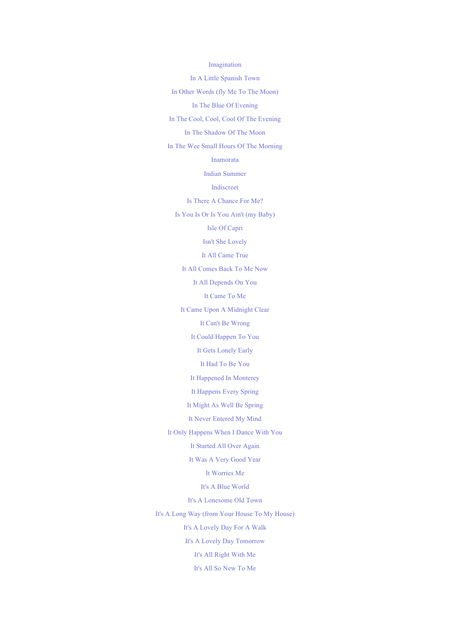Imagination In A Little Spanish Town In Other Words (fly Me To The Moon) In The Blue Of Evening In The Cool, Cool, Cool Of The Evening In The Shadow Of The Moon In The Wee Small Hours Of The Morning Inamorata Indian Summer Indiscreet Is There A Chance For Me? Is You Is Or Is You Ain't (my Baby) Isle Of Capri Isn't She Lovely It All Came True It All Comes Back To Me Now It All Depends On You It Came To Me It Came Upon A Midnight Clear It Can't Be Wrong It Could Happen To You It Gets Lonely Early It Had To Be You It Happened In Monterey It Happens Every Spring It Might As Well Be Spring It Never Entered My Mind It Only Happens When I Dance With You It Started All Over Again It Was A Very Good Year It Worries Me It's A Blue World It's A Lonesome Old Town It's A Long Way (from Your House To My House) It's A Lovely Day For A Walk It's A Lovely Day Tomorrow It's All Right With Me It's All So New To Me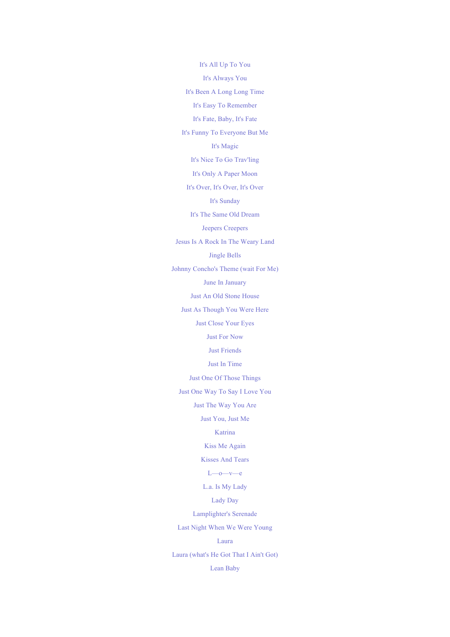It's All Up To You It's Always You It's Been A Long Long Time It's Easy To Remember It's Fate, Baby, It's Fate It's Funny To Everyone But Me It's Magic It's Nice To Go Trav'ling It's Only A Paper Moon It's Over, It's Over, It's Over It's Sunday It's The Same Old Dream Jeepers Creepers Jesus Is A Rock In The Weary Land Jingle Bells Johnny Concho's Theme (wait For Me) June In January Just An Old Stone House Just As Though You Were Here Just Close Your Eyes Just For Now Just Friends Just In Time Just One Of Those Things Just One Way To Say I Love You Just The Way You Are Just You, Just Me Katrina Kiss Me Again Kisses And Tears L—o—v—e L.a. Is My Lady Lady Day Lamplighter's Serenade Last Night When We Were Young Laura Laura (what's He Got That I Ain't Got) Lean Baby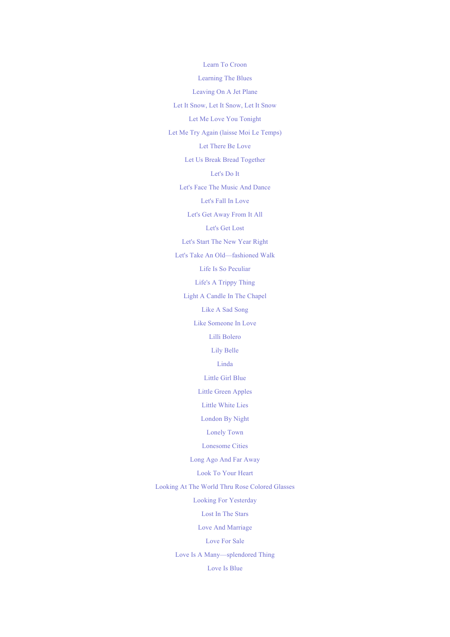Learn To Croon Learning The Blues Leaving On A Jet Plane Let It Snow, Let It Snow, Let It Snow Let Me Love You Tonight Let Me Try Again (laisse Moi Le Temps) Let There Be Love Let Us Break Bread Together Let's Do It Let's Face The Music And Dance Let's Fall In Love Let's Get Away From It All Let's Get Lost Let's Start The New Year Right Let's Take An Old—fashioned Walk Life Is So Peculiar Life's A Trippy Thing Light A Candle In The Chapel Like A Sad Song Like Someone In Love Lilli Bolero Lily Belle Linda Little Girl Blue Little Green Apples Little White Lies London By Night Lonely Town Lonesome Cities Long Ago And Far Away Look To Your Heart Looking At The World Thru Rose Colored Glasses Looking For Yesterday Lost In The Stars Love And Marriage Love For Sale Love Is A Many—splendored Thing Love Is Blue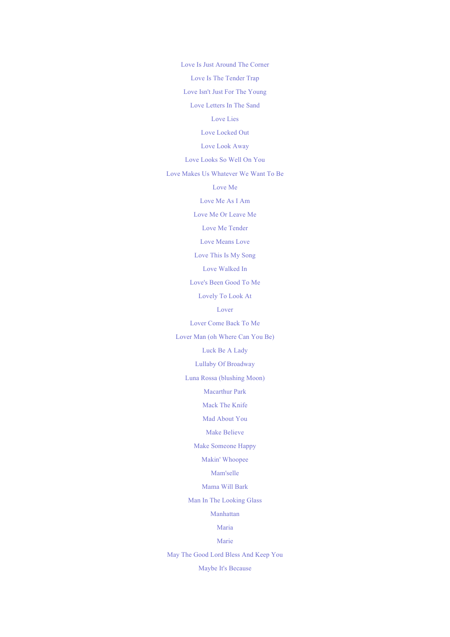Love Is Just Around The Corner Love Is The Tender Trap Love Isn't Just For The Young Love Letters In The Sand Love Lies Love Locked Out Love Look Away Love Looks So Well On You Love Makes Us Whatever We Want To Be Love Me Love Me As I Am Love Me Or Leave Me Love Me Tender Love Means Love Love This Is My Song Love Walked In Love's Been Good To Me Lovely To Look At Lover Lover Come Back To Me Lover Man (oh Where Can You Be) Luck Be A Lady Lullaby Of Broadway Luna Rossa (blushing Moon) Macarthur Park Mack The Knife Mad About You Make Believe Make Someone Happy Makin' Whoopee Mam'selle Mama Will Bark Man In The Looking Glass Manhattan Maria Marie May The Good Lord Bless And Keep You Maybe It's Because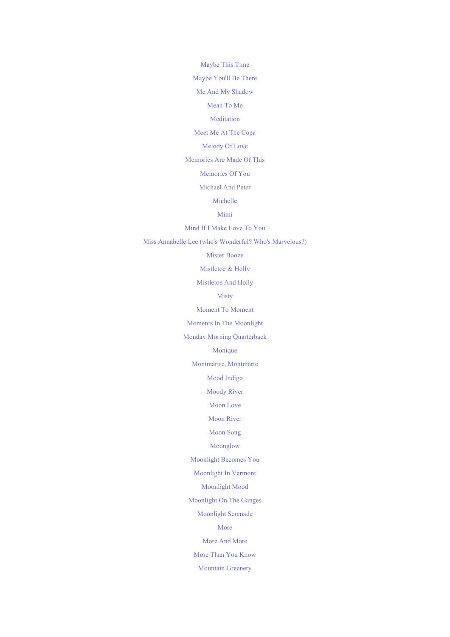Maybe This Time

Maybe You'll Be There

Me And My Shadow

Mean To Me

#### Meditation

Meet Me At The Copa

Melody Of Love

Memories Are Made Of This

Memories Of You

Michael And Peter

## Michelle

#### Mimi

Mind If I Make Love To You

Miss Annabelle Lee (who's Wonderful? Who's Marvelous?)

Mister Booze

Mistletoe & Holly

Mistletoe And Holly

Misty

Moment To Moment

Moments In The Moonlight

Monday Morning Quarterback

Monique

Montmartre, Montmarte

Mood Indigo

Moody River

Moon Love

Moon River

Moon Song

#### Moonglow

Moonlight Becomes You

Moonlight In Vermont

Moonlight Mood

Moonlight On The Ganges

Moonlight Serenade

#### More

More And More

More Than You Know

Mountain Greenery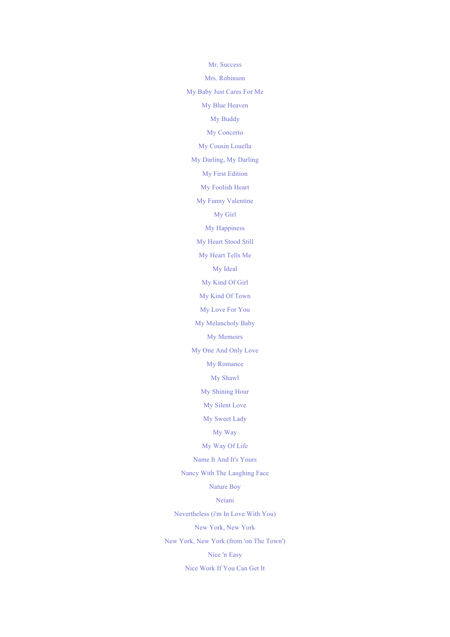Mr. Success Mrs. Robinson My Baby Just Cares For Me My Blue Heaven My Buddy My Concerto My Cousin Louella My Darling, My Darling My First Edition My Foolish Heart My Funny Valentine My Girl My Happiness My Heart Stood Still My Heart Tells Me My Ideal My Kind Of Girl My Kind Of Town My Love For You My Melancholy Baby My Memoirs My One And Only Love My Romance My Shawl My Shining Hour My Silent Love My Sweet Lady My Way My Way Of Life Name It And It's Yours Nancy With The Laughing Face Nature Boy Neiani Nevertheless (i'm In Love With You) New York, New York New York, New York (from 'on The Town') Nice 'n Easy Nice Work If You Can Get It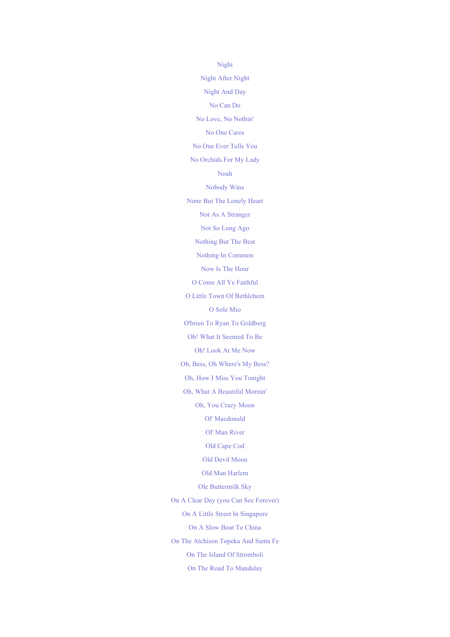Night Night After Night Night And Day No Can Do No Love, No Nothin' No One Cares No One Ever Tells You No Orchids For My Lady Noah Nobody Wins None But The Lonely Heart Not As A Stranger Not So Long Ago Nothing But The Best Nothing In Common Now Is The Hour O Come All Ye Faithful O Little Town Of Bethlehem O Sole Mio O'brien To Ryan To Goldberg Oh! What It Seemed To Be Oh! Look At Me Now Oh, Bess, Oh Where's My Bess? Oh, How I Miss You Tonight Oh, What A Beautiful Mornin' Oh, You Crazy Moon Ol' Macdonald Ol' Man River Old Cape Cod Old Devil Moon Old Man Harlem Ole Buttermilk Sky On A Clear Day (you Can See Forever) On A Little Street In Singapore On A Slow Boat To China On The Atchison Topeka And Santa Fe On The Island Of Stromboli On The Road To Mandalay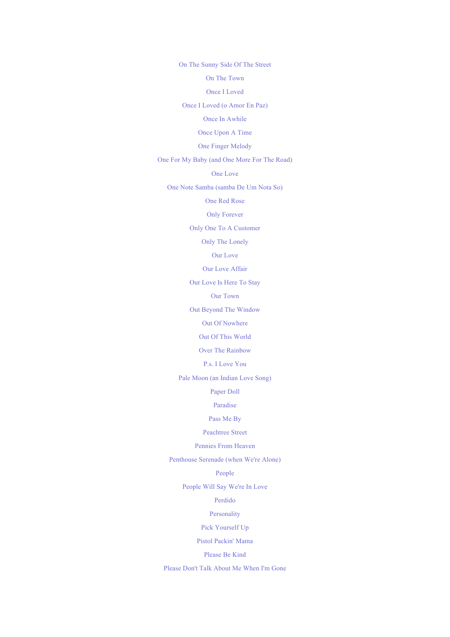On The Sunny Side Of The Street On The Town Once I Loved Once I Loved (o Amor En Paz) Once In Awhile Once Upon A Time One Finger Melody One For My Baby (and One More For The Road) One Love One Note Samba (samba De Um Nota So) One Red Rose Only Forever Only One To A Customer Only The Lonely Our Love Our Love Affair Our Love Is Here To Stay Our Town Out Beyond The Window Out Of Nowhere Out Of This World Over The Rainbow P.s. I Love You Pale Moon (an Indian Love Song) Paper Doll Paradise Pass Me By Peachtree Street Pennies From Heaven Penthouse Serenade (when We're Alone) People People Will Say We're In Love Perdido Personality Pick Yourself Up Pistol Packin' Mama Please Be Kind Please Don't Talk About Me When I'm Gone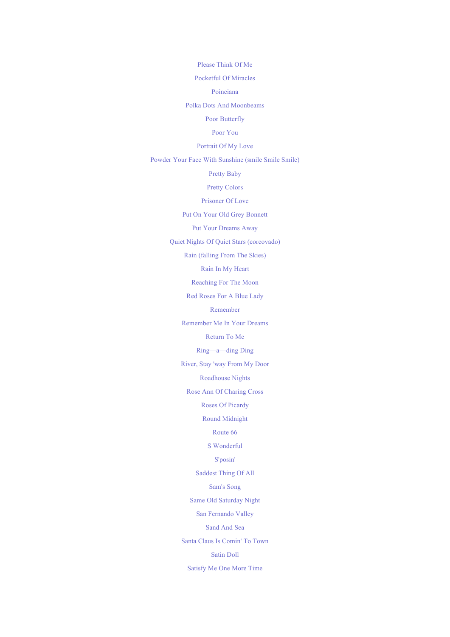Please Think Of Me Pocketful Of Miracles Poinciana Polka Dots And Moonbeams Poor Butterfly Poor You Portrait Of My Love Powder Your Face With Sunshine (smile Smile Smile) Pretty Baby Pretty Colors Prisoner Of Love Put On Your Old Grey Bonnett Put Your Dreams Away Quiet Nights Of Quiet Stars (corcovado) Rain (falling From The Skies) Rain In My Heart Reaching For The Moon Red Roses For A Blue Lady Remember Remember Me In Your Dreams Return To Me Ring—a—ding Ding River, Stay 'way From My Door Roadhouse Nights Rose Ann Of Charing Cross Roses Of Picardy Round Midnight Route 66 S Wonderful S'posin' Saddest Thing Of All Sam's Song Same Old Saturday Night San Fernando Valley Sand And Sea Santa Claus Is Comin' To Town Satin Doll Satisfy Me One More Time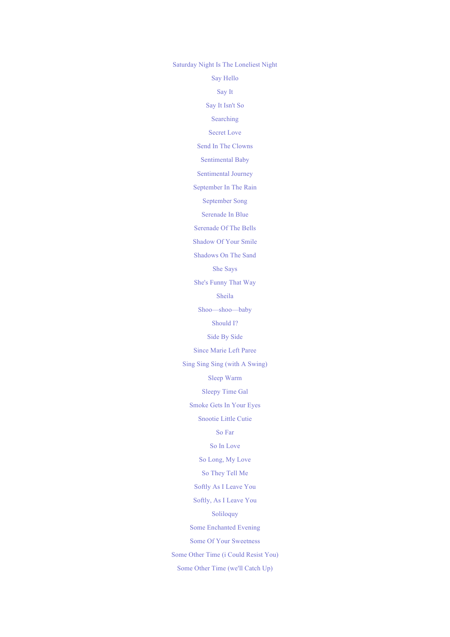Saturday Night Is The Loneliest Night Say Hello Say It Say It Isn't So Searching Secret Love Send In The Clowns Sentimental Baby Sentimental Journey September In The Rain September Song Serenade In Blue Serenade Of The Bells Shadow Of Your Smile Shadows On The Sand She Says She's Funny That Way Sheila Shoo—shoo—baby Should I? Side By Side Since Marie Left Paree Sing Sing Sing (with A Swing) Sleep Warm Sleepy Time Gal Smoke Gets In Your Eyes Snootie Little Cutie So Far So In Love So Long, My Love So They Tell Me Softly As I Leave You Softly, As I Leave You Soliloquy Some Enchanted Evening Some Of Your Sweetness Some Other Time (i Could Resist You) Some Other Time (we'll Catch Up)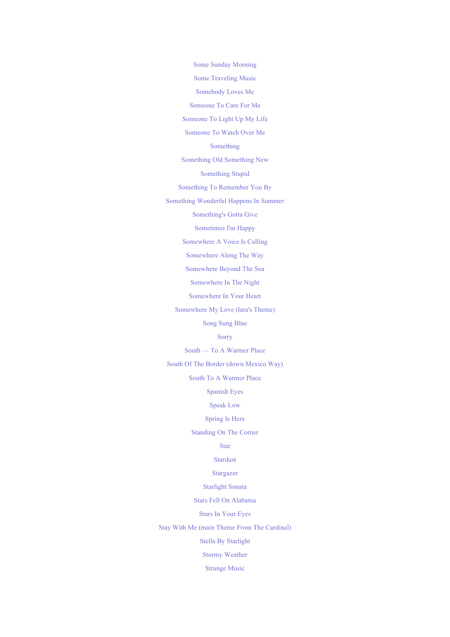Some Sunday Morning Some Traveling Music Somebody Loves Me Someone To Care For Me Someone To Light Up My Life Someone To Watch Over Me Something Something Old Something New Something Stupid Something To Remember You By Something Wonderful Happens In Summer Something's Gotta Give Sometimes I'm Happy Somewhere A Voice Is Calling Somewhere Along The Way Somewhere Beyond The Sea Somewhere In The Night Somewhere In Your Heart Somewhere My Love (lara's Theme) Song Sung Blue Sorry South — To A Warmer Place South Of The Border (down Mexico Way) South To A Warmer Place Spanish Eyes Speak Low Spring Is Here Standing On The Corner Star Stardust Stargazer Starlight Sonata Stars Fell On Alabama Stars In Your Eyes Stay With Me (main Theme From The Cardinal) Stella By Starlight

Stormy Weather

Strange Music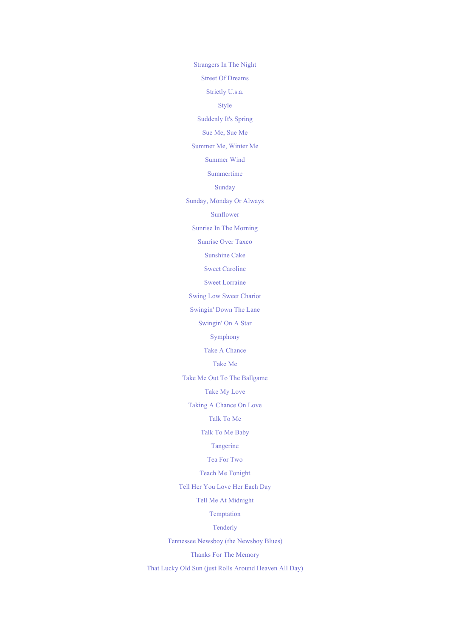Strangers In The Night Street Of Dreams Strictly U.s.a. Style Suddenly It's Spring Sue Me, Sue Me Summer Me, Winter Me Summer Wind Summertime Sunday Sunday, Monday Or Always Sunflower Sunrise In The Morning Sunrise Over Taxco Sunshine Cake Sweet Caroline Sweet Lorraine Swing Low Sweet Chariot Swingin' Down The Lane Swingin' On A Star Symphony Take A Chance Take Me Take Me Out To The Ballgame Take My Love Taking A Chance On Love Talk To Me Talk To Me Baby Tangerine Tea For Two Teach Me Tonight Tell Her You Love Her Each Day Tell Me At Midnight Temptation Tenderly Tennessee Newsboy (the Newsboy Blues) Thanks For The Memory That Lucky Old Sun (just Rolls Around Heaven All Day)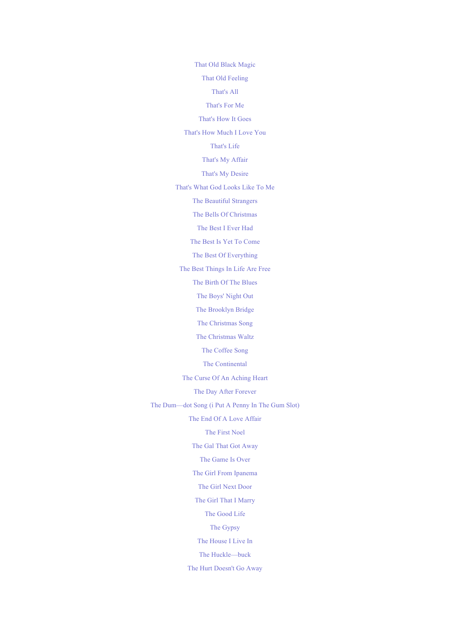That Old Black Magic That Old Feeling That's All That's For Me That's How It Goes That's How Much I Love You That's Life That's My Affair That's My Desire That's What God Looks Like To Me The Beautiful Strangers The Bells Of Christmas The Best I Ever Had The Best Is Yet To Come The Best Of Everything The Best Things In Life Are Free The Birth Of The Blues The Boys' Night Out The Brooklyn Bridge The Christmas Song The Christmas Waltz The Coffee Song The Continental The Curse Of An Aching Heart The Day After Forever The Dum—dot Song (i Put A Penny In The Gum Slot) The End Of A Love Affair The First Noel The Gal That Got Away The Game Is Over The Girl From Ipanema The Girl Next Door The Girl That I Marry The Good Life The Gypsy The House I Live In The Huckle—buck The Hurt Doesn't Go Away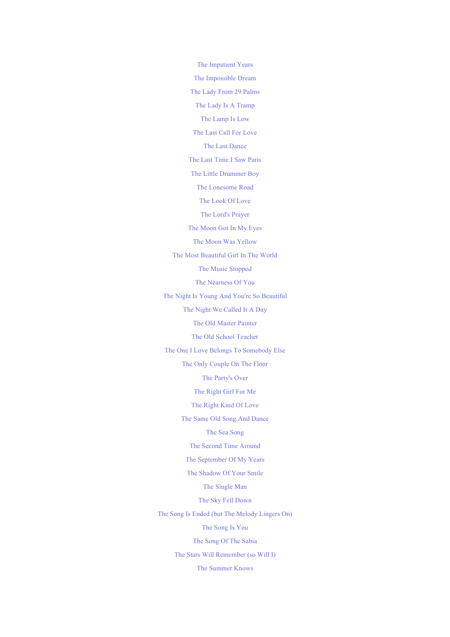The Impatient Years The Impossible Dream The Lady From 29 Palms The Lady Is A Tramp The Lamp Is Low The Last Call For Love The Last Dance The Last Time I Saw Paris The Little Drummer Boy The Lonesome Road The Look Of Love The Lord's Prayer The Moon Got In My Eyes The Moon Was Yellow The Most Beautiful Girl In The World The Music Stopped The Nearness Of You The Night Is Young And You're So Beautiful The Night We Called It A Day The Old Master Painter The Old School Teacher The One I Love Belongs To Somebody Else The Only Couple On The Floor The Party's Over The Right Girl For Me The Right Kind Of Love The Same Old Song And Dance The Sea Song The Second Time Around The September Of My Years The Shadow Of Your Smile The Single Man The Sky Fell Down The Song Is Ended (but The Melody Lingers On) The Song Is You The Song Of The Sabia The Stars Will Remember (so Will I) The Summer Knows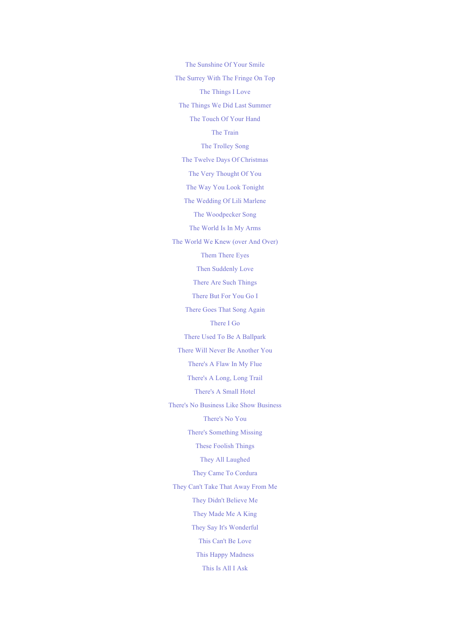The Sunshine Of Your Smile The Surrey With The Fringe On Top The Things I Love The Things We Did Last Summer The Touch Of Your Hand The Train The Trolley Song The Twelve Days Of Christmas The Very Thought Of You The Way You Look Tonight The Wedding Of Lili Marlene The Woodpecker Song The World Is In My Arms The World We Knew (over And Over) Them There Eyes Then Suddenly Love There Are Such Things There But For You Go I There Goes That Song Again There I Go There Used To Be A Ballpark There Will Never Be Another You There's A Flaw In My Flue There's A Long, Long Trail There's A Small Hotel There's No Business Like Show Business There's No You There's Something Missing These Foolish Things They All Laughed They Came To Cordura They Can't Take That Away From Me They Didn't Believe Me They Made Me A King They Say It's Wonderful This Can't Be Love This Happy Madness This Is All I Ask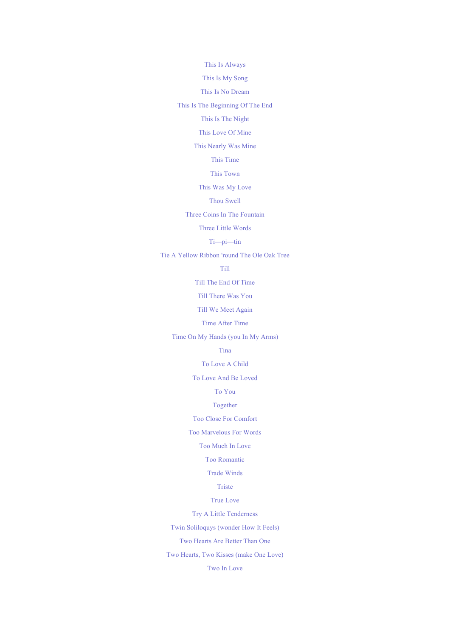This Is Always This Is My Song This Is No Dream This Is The Beginning Of The End This Is The Night This Love Of Mine This Nearly Was Mine This Time This Town This Was My Love Thou Swell Three Coins In The Fountain Three Little Words Ti—pi—tin Tie A Yellow Ribbon 'round The Ole Oak Tree Till Till The End Of Time Till There Was You Till We Meet Again Time After Time Time On My Hands (you In My Arms) Tina To Love A Child To Love And Be Loved To You Together Too Close For Comfort Too Marvelous For Words Too Much In Love Too Romantic Trade Winds Triste True Love Try A Little Tenderness Twin Soliloquys (wonder How It Feels) Two Hearts Are Better Than One Two Hearts, Two Kisses (make One Love) Two In Love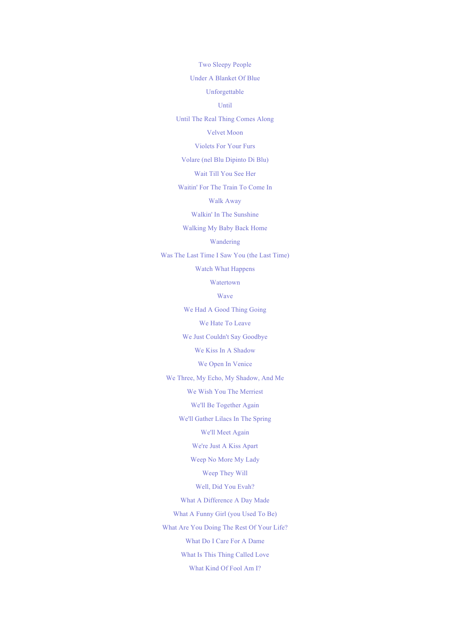Two Sleepy People Under A Blanket Of Blue Unforgettable Until Until The Real Thing Comes Along Velvet Moon Violets For Your Furs Volare (nel Blu Dipinto Di Blu) Wait Till You See Her Waitin' For The Train To Come In Walk Away Walkin' In The Sunshine Walking My Baby Back Home Wandering Was The Last Time I Saw You (the Last Time) Watch What Happens Watertown Wave We Had A Good Thing Going We Hate To Leave We Just Couldn't Say Goodbye We Kiss In A Shadow We Open In Venice We Three, My Echo, My Shadow, And Me We Wish You The Merriest We'll Be Together Again We'll Gather Lilacs In The Spring We'll Meet Again We're Just A Kiss Apart Weep No More My Lady Weep They Will Well, Did You Evah? What A Difference A Day Made What A Funny Girl (you Used To Be) What Are You Doing The Rest Of Your Life? What Do I Care For A Dame What Is This Thing Called Love What Kind Of Fool Am I?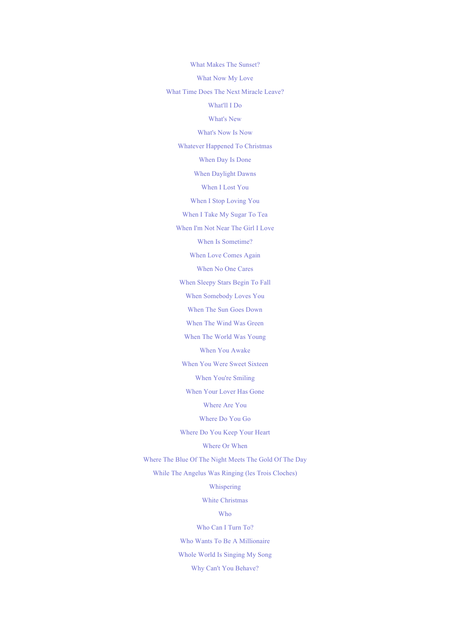What Makes The Sunset? What Now My Love What Time Does The Next Miracle Leave? What'll I Do What's New What's Now Is Now Whatever Happened To Christmas When Day Is Done When Daylight Dawns When I Lost You When I Stop Loving You When I Take My Sugar To Tea When I'm Not Near The Girl I Love When Is Sometime? When Love Comes Again When No One Cares When Sleepy Stars Begin To Fall When Somebody Loves You When The Sun Goes Down When The Wind Was Green When The World Was Young When You Awake When You Were Sweet Sixteen When You're Smiling When Your Lover Has Gone Where Are You Where Do You Go Where Do You Keep Your Heart Where Or When Where The Blue Of The Night Meets The Gold Of The Day While The Angelus Was Ringing (les Trois Cloches) Whispering White Christmas Who Who Can I Turn To? Who Wants To Be A Millionaire Whole World Is Singing My Song

Why Can't You Behave?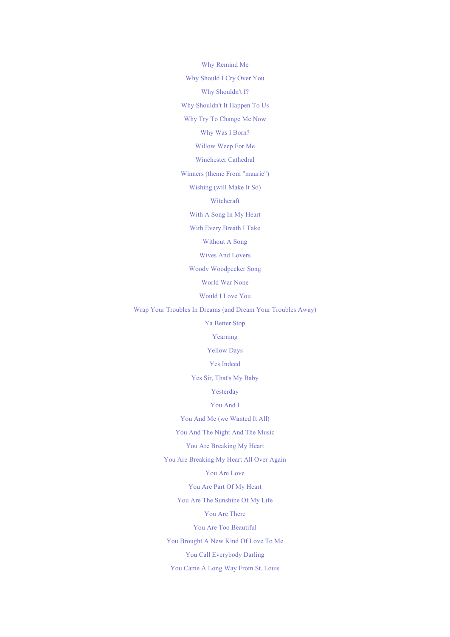Why Remind Me Why Should I Cry Over You Why Shouldn't I? Why Shouldn't It Happen To Us Why Try To Change Me Now Why Was I Born? Willow Weep For Me Winchester Cathedral Winners (theme From "maurie") Wishing (will Make It So) Witchcraft With A Song In My Heart With Every Breath I Take Without A Song Wives And Lovers

Woody Woodpecker Song

World War None

Would I Love You

Wrap Your Troubles In Dreams (and Dream Your Troubles Away)

Ya Better Stop

Yearning

Yellow Days

Yes Indeed

Yes Sir, That's My Baby

Yesterday

You And I

You And Me (we Wanted It All)

You And The Night And The Music

You Are Breaking My Heart

You Are Breaking My Heart All Over Again

You Are Love

You Are Part Of My Heart

You Are The Sunshine Of My Life

You Are There

You Are Too Beautiful

You Brought A New Kind Of Love To Me

You Call Everybody Darling

You Came A Long Way From St. Louis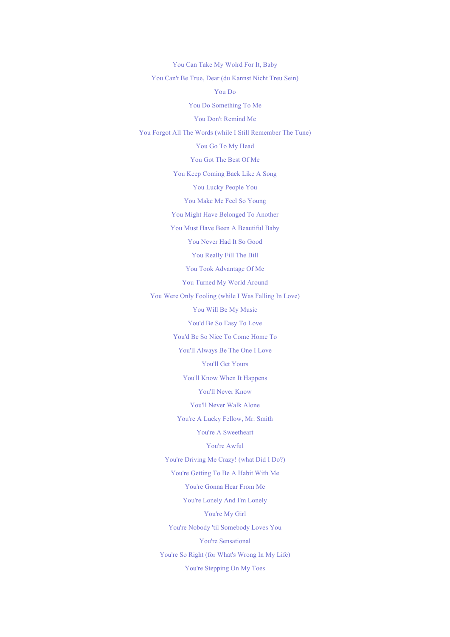You Can Take My Wolrd For It, Baby You Can't Be True, Dear (du Kannst Nicht Treu Sein) You Do You Do Something To Me You Don't Remind Me You Forgot All The Words (while I Still Remember The Tune) You Go To My Head You Got The Best Of Me You Keep Coming Back Like A Song You Lucky People You You Make Me Feel So Young You Might Have Belonged To Another You Must Have Been A Beautiful Baby You Never Had It So Good You Really Fill The Bill You Took Advantage Of Me You Turned My World Around You Were Only Fooling (while I Was Falling In Love) You Will Be My Music You'd Be So Easy To Love You'd Be So Nice To Come Home To You'll Always Be The One I Love You'll Get Yours You'll Know When It Happens You'll Never Know You'll Never Walk Alone You're A Lucky Fellow, Mr. Smith You're A Sweetheart You're Awful You're Driving Me Crazy! (what Did I Do?) You're Getting To Be A Habit With Me You're Gonna Hear From Me You're Lonely And I'm Lonely You're My Girl You're Nobody 'til Somebody Loves You You're Sensational You're So Right (for What's Wrong In My Life) You're Stepping On My Toes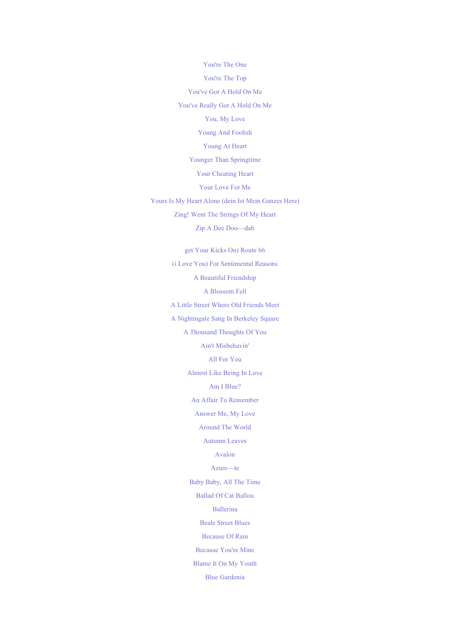You're The One You're The Top You've Got A Hold On Me You've Really Got A Hold On Me You, My Love Young And Foolish Young At Heart Younger Than Springtime Your Cheating Heart Your Love For Me Yours Is My Heart Alone (dein Ist Mein Ganzes Herz) Zing! Went The Strings Of My Heart Zip A Dee Doo—dah get Your Kicks On) Route 66 (i Love You) For Sentimental Reasons A Beautiful Friendship A Blossom Fell A Little Street Where Old Friends Meet A Nightingale Sang In Berkeley Square A Thousand Thoughts Of You Ain't Misbehavin' All For You Almost Like Being In Love Am I Blue? An Affair To Remember Answer Me, My Love Around The World Autumn Leaves Avalon Azure—te Baby Baby, All The Time Ballad Of Cat Ballou Ballerina Beale Street Blues Because Of Rain Because You're Mine Blame It On My Youth Blue Gardenia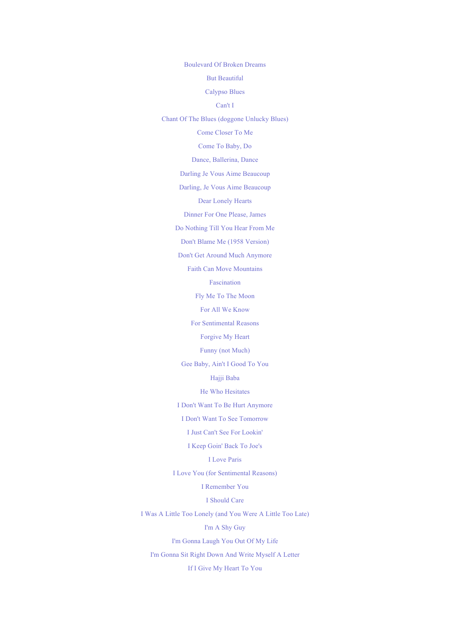Boulevard Of Broken Dreams But Beautiful Calypso Blues Can't I Chant Of The Blues (doggone Unlucky Blues) Come Closer To Me Come To Baby, Do Dance, Ballerina, Dance Darling Je Vous Aime Beaucoup Darling, Je Vous Aime Beaucoup Dear Lonely Hearts Dinner For One Please, James Do Nothing Till You Hear From Me Don't Blame Me (1958 Version) Don't Get Around Much Anymore Faith Can Move Mountains Fascination Fly Me To The Moon For All We Know For Sentimental Reasons Forgive My Heart Funny (not Much) Gee Baby, Ain't I Good To You Hajji Baba He Who Hesitates I Don't Want To Be Hurt Anymore I Don't Want To See Tomorrow I Just Can't See For Lookin' I Keep Goin' Back To Joe's I Love Paris I Love You (for Sentimental Reasons) I Remember You I Should Care I Was A Little Too Lonely (and You Were A Little Too Late) I'm A Shy Guy I'm Gonna Laugh You Out Of My Life I'm Gonna Sit Right Down And Write Myself A Letter If I Give My Heart To You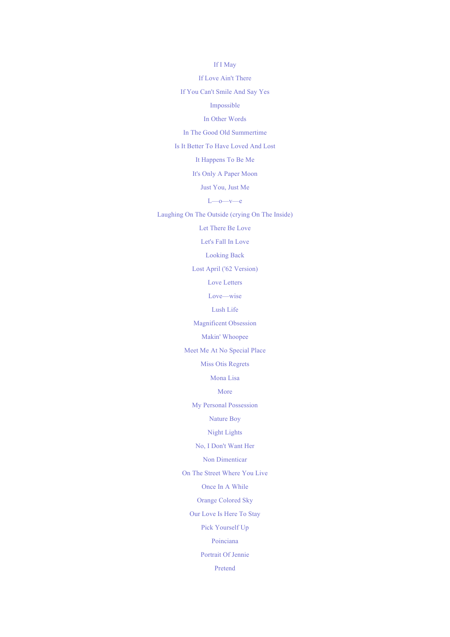If I May If Love Ain't There If You Can't Smile And Say Yes Impossible In Other Words In The Good Old Summertime Is It Better To Have Loved And Lost It Happens To Be Me It's Only A Paper Moon Just You, Just Me L—o—v—e Laughing On The Outside (crying On The Inside) Let There Be Love Let's Fall In Love Looking Back Lost April ('62 Version) Love Letters Love—wise Lush Life Magnificent Obsession Makin' Whoopee Meet Me At No Special Place Miss Otis Regrets Mona Lisa More My Personal Possession Nature Boy Night Lights No, I Don't Want Her Non Dimenticar On The Street Where You Live Once In A While Orange Colored Sky Our Love Is Here To Stay Pick Yourself Up Poinciana Portrait Of Jennie Pretend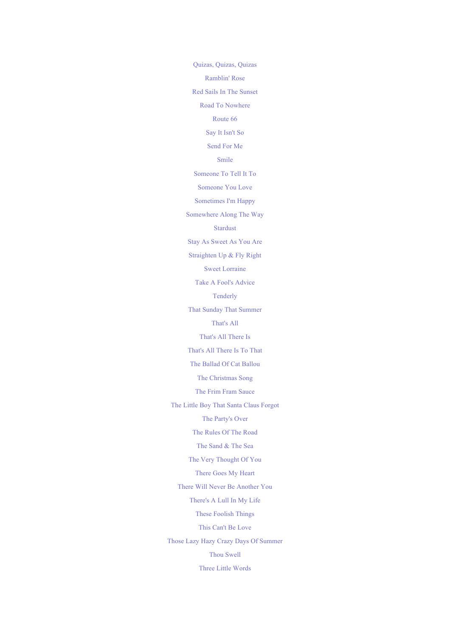Quizas, Quizas, Quizas Ramblin' Rose Red Sails In The Sunset Road To Nowhere Route 66 Say It Isn't So Send For Me Smile Someone To Tell It To Someone You Love Sometimes I'm Happy Somewhere Along The Way Stardust Stay As Sweet As You Are Straighten Up & Fly Right Sweet Lorraine Take A Fool's Advice Tenderly That Sunday That Summer That's All That's All There Is That's All There Is To That The Ballad Of Cat Ballou The Christmas Song The Frim Fram Sauce The Little Boy That Santa Claus Forgot The Party's Over The Rules Of The Road The Sand & The Sea The Very Thought Of You There Goes My Heart There Will Never Be Another You There's A Lull In My Life These Foolish Things This Can't Be Love Those Lazy Hazy Crazy Days Of Summer Thou Swell Three Little Words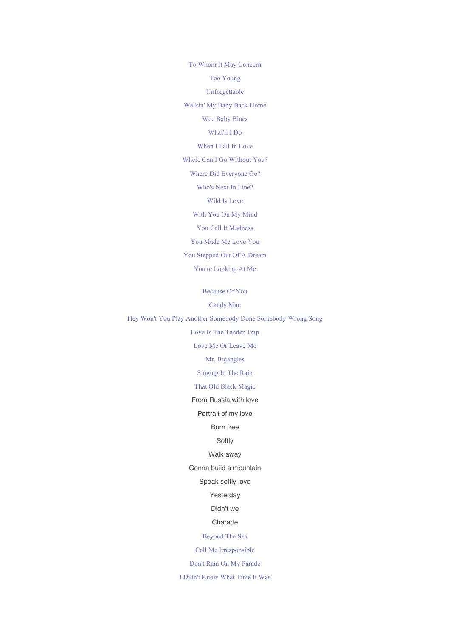To Whom It May Concern Too Young Unforgettable Walkin' My Baby Back Home Wee Baby Blues What'll I Do When I Fall In Love Where Can I Go Without You? Where Did Everyone Go? Who's Next In Line? Wild Is Love With You On My Mind You Call It Madness You Made Me Love You You Stepped Out Of A Dream You're Looking At Me

Because Of You

Candy Man

Hey Won't You Play Another Somebody Done Somebody Wrong Song

Love Is The Tender Trap

Love Me Or Leave Me

Mr. Bojangles

Singing In The Rain

That Old Black Magic

From Russia with love

Portrait of my love

## Born free

## Softly

## Walk away

Gonna build a mountain

Speak softly love

## Yesterday

Didn't we

#### Charade

Beyond The Sea

Call Me Irresponsible

Don't Rain On My Parade

I Didn't Know What Time It Was